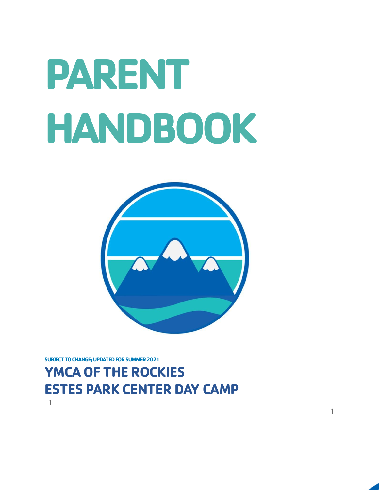# **PARENT HANDBOOK**



1

### **YMCA OF THE ROCKIES ESTES PARK CENTER DAY CAMP** 1

**SUBJECT TO CHANGE; UPDATED FOR SUMMER 2021**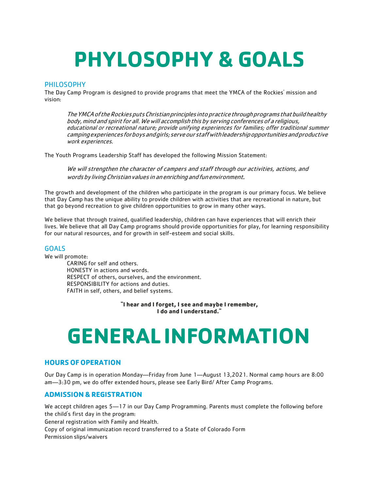# **PHYLOSOPHY & GOALS**

#### PHILOSOPHY

The Day Camp Program is designed to provide programs that meet the YMCA of the Rockies' mission and vision:

TheYMCAoftheRockiesputsChristianprinciplesintopracticethroughprogramsthatbuildhealthy body, mind and spirit for all. We will accomplish this by serving conferences of a religious, educational or recreational nature; provide unifying experiences for families; offer traditional summer campingexperiencesforboysandgirls;serveourstaffwithleadershipopportunitiesandproductive work experiences.

The Youth Programs Leadership Staff has developed the following Mission Statement:

We will strengthen the character of campers and staff through our activities, actions, and words by living Christian values in an enriching and fun environment.

The growth and development of the children who participate in the program is our primary focus. We believe that Day Camp has the unique ability to provide children with activities that are recreational in nature, but that go beyond recreation to give children opportunities to grow in many other ways.

We believe that through trained, qualified leadership, children can have experiences that will enrich their lives. We believe that all Day Camp programs should provide opportunities for play, for learning responsibility for our natural resources, and for growth in self-esteem and social skills.

#### **GOALS**

We will promote:

CARING for self and others. HONESTY in actions and words. RESPECT of others, ourselves, and the environment. RESPONSIBILITY for actions and duties. FAITH in self, others, and belief systems.

> **"I hear and I forget, I see and maybe I remember, I do and I understand."**

# **GENERAL INFORMATION**

#### **HOURS OF OPERATION**

Our Day Camp is in operation Monday—Friday from June 1—August 13,2021. Normal camp hours are 8:00 am—3:30 pm, we do offer extended hours, please see Early Bird/ After Camp Programs.

#### **ADMISSION & REGISTRATION**

We accept children ages 5—17 in our Day Camp Programming. Parents must complete the following before the child's first day in the program:

General registration with Family and Health.

Copy of original immunization record transferred to a State of Colorado Form Permission slips/waivers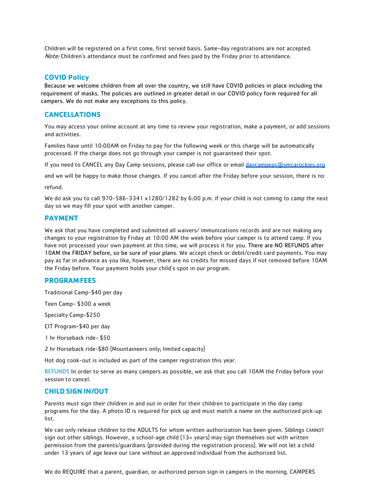Children will be registered on a first come, first served basis. Same-day registrations are not accepted. Note: Children's attendance must be confirmed and fees paid by the Friday prior to attendance.

#### **COVID Policy**

 Because we welcome children from all over the country, we still have COVID policies in place including the requirement of masks. The policies are outlined in greater detail in our COVID policy form required for all campers. We do not make any exceptions to this policy.

#### **CANCELLATIONS**

You may access your online account at any time to review your registration, make a payment, or add sessions and activities.

Families have until 10:00AM on Friday to pay for the following week or this charge will be automatically processed. If the charge does not go through your camper is not guaranteed their spot.

If you need to CANCEL any Day Camp sessions, please call our office or email [daycampepc@ymcarockies.org](mailto:daycampepc@ymcarockies.org)

and we will be happy to make those changes. If you cancel after the Friday before your session, there is no

refund.

We do ask you to call 970-586-3341 x1280/1282 by 6:00 p.m. if your child is not coming to camp the next day so we may fill your spot with another camper.

#### **PAYMENT**

We ask that you have completed and submitted all waivers/ immunizations records and are not making any changes to your registration by Friday at 10:00 AM the week before your camper is to attend camp. If you have not processed your own payment at this time, we will process it for you. There are NO REFUNDS after 10AM the FRIDAY before, so be sure of your plans. We accept check or debit/credit card payments. You may pay as far in advance as you like, however, there are no credits for missed days if not removed before 10AM the Friday before. Your payment holds your child's spot in our program.

#### **PROGRAMFEES**

Traditional Camp-\$40 per day

Teen Camp- \$300 a week

Specialty Camp-\$250

CIT Program-\$40 per day

1 hr Horseback ride- \$50

2 hr Horseback ride-\$80 (Mountaineers only; limited capacity)

Hot dog cook-out is included as part of the camper registration this year.

REFUNDS In order to serve as many campers as possible, we ask that you call 10AM the Friday before your session to cancel.

#### **CHILDSIGN IN/OUT**

Parents must sign their children in and out in order for their children to participate in the day camp programs for the day. A photo ID is required for pick up and must match a name on the authorized pick-up list.

We can only release children to the ADULTS for whom written authorization has been given. Siblings CANNOT sign out other siblings. However, a school-age child (13+ years) may sign themselves out with written permission from the parents/guardians (provided during the registration process). We will not let a child under 13 years of age leave our care without an approved individual from the authorized list.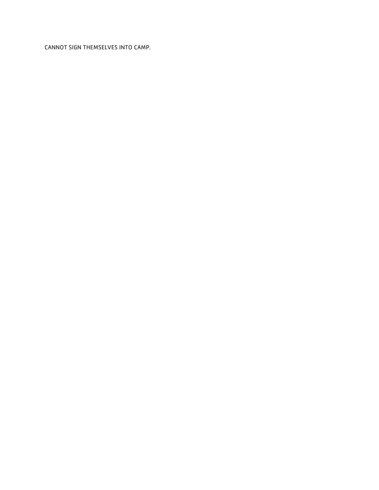CANNOT SIGN THEMSELVES INTO CAMP.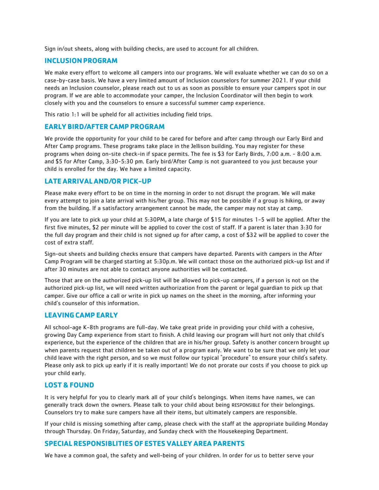Sign in/out sheets, along with building checks, are used to account for all children.

#### **INCLUSIONPROGRAM**

We make every effort to welcome all campers into our programs. We will evaluate whether we can do so on a case-by-case basis. We have a very limited amount of Inclusion counselors for summer 2021. If your child needs an Inclusion counselor, please reach out to us as soon as possible to ensure your campers spot in our program. If we are able to accommodate your camper, the Inclusion Coordinator will then begin to work closely with you and the counselors to ensure a successful summer camp experience.

This ratio 1:1 will be upheld for all activities including field trips.

#### **EARLY BIRD/AFTER CAMP PROGRAM**

We provide the opportunity for your child to be cared for before and after camp through our Early Bird and After Camp programs. These programs take place in the Jellison building. You may register for these programs when doing on-site check-in if space permits. The fee is \$3 for Early Birds, 7:00 a.m. - 8:00 a.m. and \$5 for After Camp, 3:30-5:30 pm. Early bird/After Camp is not guaranteed to you just because your child is enrolled for the day. We have a limited capacity.

#### **LATEARRIVALAND/OR PICK-UP**

Please make every effort to be on time in the morning in order to not disrupt the program. We will make every attempt to join a late arrival with his/her group. This may not be possible if a group is hiking, or away from the building. If a satisfactory arrangement cannot be made, the camper may not stay at camp.

If you are late to pick up your child at 5:30PM, a late charge of \$15 for minutes 1-5 will be applied. After the first five minutes, \$2 per minute will be applied to cover the cost of staff. If a parent is later than 3:30 for the full day program and their child is not signed up for after camp, a cost of \$32 will be applied to cover the cost of extra staff.

Sign-out sheets and building checks ensure that campers have departed. Parents with campers in the After Camp Program will be charged starting at 5:30p.m. We will contact those on the authorized pick-up list and if after 30 minutes are not able to contact anyone authorities will be contacted.

Those that are on the authorized pick-up list will be allowed to pick-up campers, if a person is not on the authorized pick-up list, we will need written authorization from the parent or legal guardian to pick up that camper. Give our office a call or write in pick up names on the sheet in the morning, after informing your child's counselor of this information.

#### **LEAVINGCAMP EARLY**

All school-age K-8th programs are full-day. We take great pride in providing your child with a cohesive, growing Day Camp experience from start to finish. A child leaving our program will hurt not only that child's experience, but the experience of the children that are in his/her group. Safety is another concern brought up when parents request that children be taken out of a program early. We want to be sure that we only let your child leave with the right person, and so we must follow our typical "procedure" to ensure your child's safety. Please only ask to pick up early if it is really important! We do not prorate our costs if you choose to pick up your child early.

#### **LOST & FOUND**

It is very helpful for you to clearly mark all of your child's belongings. When items have names, we can generally track down the owners. Please talk to your child about being RESPONSIBLE for their belongings. Counselors try to make sure campers have all their items, but ultimately campers are responsible.

If your child is missing something after camp, please check with the staff at the appropriate building Monday through Thursday. On Friday, Saturday, and Sunday check with the Housekeeping Department.

#### **SPECIAL RESPONSIBLITIES OF ESTESVALLEY AREA PARENTS**

We have a common goal, the safety and well-being of your children. In order for us to better serve your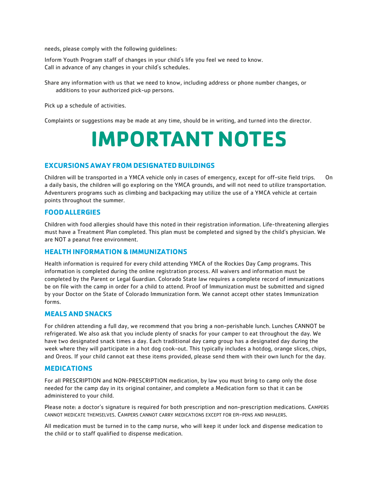needs, please comply with the following guidelines:

Inform Youth Program staff of changes in your child's life you feel we need to know. Call in advance of any changes in your child's schedules.

Share any information with us that we need to know, including address or phone number changes, or additions to your authorized pick-up persons.

Pick up a schedule of activities.

Complaints or suggestions may be made at any time, should be in writing, and turned into the director.

### **IMPORTANT NOTES**

#### **EXCURSIONS AWAY FROM DESIGNATED BUILDINGS**

Children will be transported in a YMCA vehicle only in cases of emergency, except for off-site field trips. On a daily basis, the children will go exploring on the YMCA grounds, and will not need to utilize transportation. Adventurers programs such as climbing and backpacking may utilize the use of a YMCA vehicle at certain points throughout the summer.

#### **FOODALLERGIES**

Children with food allergies should have this noted in their registration information. Life-threatening allergies must have a Treatment Plan completed. This plan must be completed and signed by the child's physician. We are NOT a peanut free environment.

#### **HEALTHINFORMATION & IMMUNIZATIONS**

Health information is required for every child attending YMCA of the Rockies Day Camp programs. This information is completed during the online registration process. All waivers and information must be completed by the Parent or Legal Guardian. Colorado State law requires a complete record of immunizations be on file with the camp in order for a child to attend. Proof of Immunization must be submitted and signed by your Doctor on the State of Colorado Immunization form. We cannot accept other states Immunization forms.

#### **MEALS AND SNACKS**

For children attending a full day, we recommend that you bring a non-perishable lunch. Lunches CANNOT be refrigerated. We also ask that you include plenty of snacks for your camper to eat throughout the day. We have two designated snack times a day. Each traditional day camp group has a designated day during the week where they will participate in a hot dog cook-out. This typically includes a hotdog, orange slices, chips, and Oreos. If your child cannot eat these items provided, please send them with their own lunch for the day.

#### **MEDICATIONS**

For all PRESCRIPTION and NON-PRESCRIPTION medication, by law you must bring to camp only the dose needed for the camp day in its original container, and complete a Medication form so that it can be administered to your child.

Please note: a doctor's signature is required for both prescription and non-prescription medications. CAMPERS CANNOT MEDICATE THEMSELVES. CAMPERS CANNOT CARRY MEDICATIONS EXCEPT FOR EPI-PENS AND INHALERS.

All medication must be turned in to the camp nurse, who will keep it under lock and dispense medication to the child or to staff qualified to dispense medication.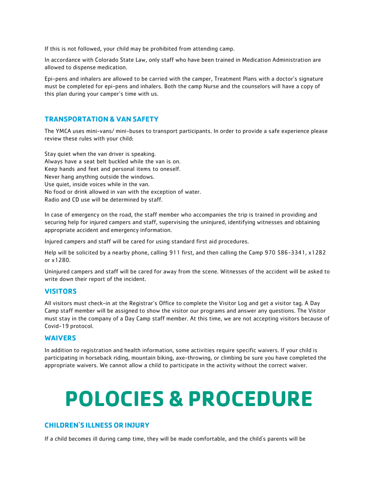If this is not followed, your child may be prohibited from attending camp.

In accordance with Colorado State Law, only staff who have been trained in Medication Administration are allowed to dispense medication.

Epi-pens and inhalers are allowed to be carried with the camper, Treatment Plans with a doctor's signature must be completed for epi-pens and inhalers. Both the camp Nurse and the counselors will have a copy of this plan during your camper's time with us.

#### **TRANSPORTATION & VAN SAFETY**

The YMCA uses mini-vans/ mini-buses to transport participants. In order to provide a safe experience please review these rules with your child:

Stay quiet when the van driver is speaking. Always have a seat belt buckled while the van is on. Keep hands and feet and personal items to oneself. Never hang anything outside the windows. Use quiet, inside voices while in the van. No food or drink allowed in van with the exception of water. Radio and CD use will be determined by staff.

In case of emergency on the road, the staff member who accompanies the trip is trained in providing and securing help for injured campers and staff, supervising the uninjured, identifying witnesses and obtaining appropriate accident and emergency information.

Injured campers and staff will be cared for using standard first aid procedures.

Help will be solicited by a nearby phone, calling 911 first, and then calling the Camp 970 586-3341, x1282 or x1280.

Uninjured campers and staff will be cared for away from the scene. Witnesses of the accident will be asked to write down their report of the incident.

#### **VISITORS**

All visitors must check-in at the Registrar's Office to complete the Visitor Log and get a visitor tag. A Day Camp staff member will be assigned to show the visitor our programs and answer any questions. The Visitor must stay in the company of a Day Camp staff member. At this time, we are not accepting visitors because of Covid-19 protocol.

#### **WAIVERS**

In addition to registration and health information, some activities require specific waivers. If your child is participating in horseback riding, mountain biking, axe-throwing, or climbing be sure you have completed the appropriate waivers. We cannot allow a child to participate in the activity without the correct waiver.

## **POLOCIES & PROCEDURE**

#### **CHILDREN'S ILLNESS OR INJURY**

If a child becomes ill during camp time, they will be made comfortable, and the child's parents will be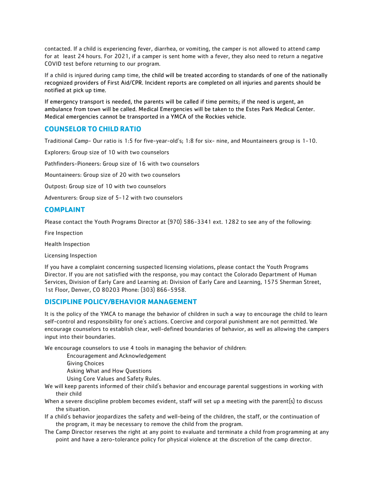contacted. If a child is experiencing fever, diarrhea, or vomiting, the camper is not allowed to attend camp for at least 24 hours. For 2021, if a camper is sent home with a fever, they also need to return a negative COVID test before returning to our program.

If a child is injured during camp time, the child will be treated according to standards of one of the nationally recognized providers of First Aid/CPR. Incident reports are completed on all injuries and parents should be notified at pick up time.

If emergency transport is needed, the parents will be called if time permits; if the need is urgent, an ambulance from town will be called. Medical Emergencies will be taken to the Estes Park Medical Center. Medical emergencies cannot be transported in a YMCA of the Rockies vehicle.

#### **COUNSELOR TO CHILD RATIO**

Traditional Camp- Our ratio is 1:5 for five-year-old's; 1:8 for six- nine, and Mountaineers group is 1-10.

Explorers: Group size of 10 with two counselors

Pathfinders-Pioneers: Group size of 16 with two counselors

Mountaineers: Group size of 20 with two counselors

Outpost: Group size of 10 with two counselors

Adventurers: Group size of 5-12 with two counselors

#### **COMPLAINT**

Please contact the Youth Programs Director at (970) 586-3341 ext. 1282 to see any of the following:

Fire Inspection

Health Inspection

Licensing Inspection

If you have a complaint concerning suspected licensing violations, please contact the Youth Programs Director. If you are not satisfied with the response, you may contact the Colorado Department of Human Services, Division of Early Care and Learning at: Division of Early Care and Learning, 1575 Sherman Street, 1st Floor, Denver, CO 80203 Phone: (303) 866-5958.

#### **DISCIPLINE POLICY/BEHAVIOR MANAGEMENT**

It is the policy of the YMCA to manage the behavior of children in such a way to encourage the child to learn self-control and responsibility for one's actions. Coercive and corporal punishment are not permitted. We encourage counselors to establish clear, well-defined boundaries of behavior, as well as allowing the campers input into their boundaries.

We encourage counselors to use 4 tools in managing the behavior of children:

Encouragement and Acknowledgement

Giving Choices Asking What and How Questions

Using Core Values and Safety Rules.

We will keep parents informed of their child's behavior and encourage parental suggestions in working with their child

When a severe discipline problem becomes evident, staff will set up a meeting with the parent(s) to discuss the situation.

If a child's behavior jeopardizes the safety and well-being of the children, the staff, or the continuation of the program, it may be necessary to remove the child from the program.

The Camp Director reserves the right at any point to evaluate and terminate a child from programming at any point and have a zero-tolerance policy for physical violence at the discretion of the camp director.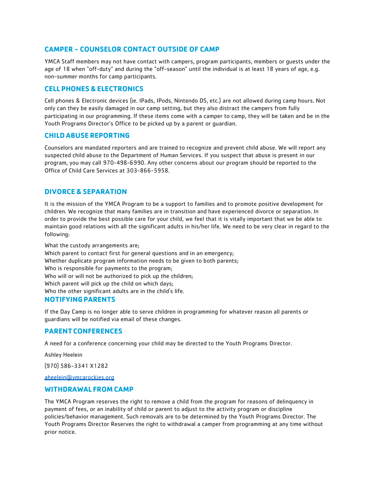#### **CAMPER - COUNSELOR CONTACT OUTSIDE OF CAMP**

YMCA Staff members may not have contact with campers, program participants, members or guests under the age of 18 when "off-duty" and during the "off-season" until the individual is at least 18 years of age, e.g. non-summer months for camp participants.

#### **CELL PHONES & ELECTRONICS**

Cell phones & Electronic devices (ie. IPads, IPods, Nintendo DS, etc.) are not allowed during camp hours. Not only can they be easily damaged in our camp setting, but they also distract the campers from fully participating in our programming. If these items come with a camper to camp, they will be taken and be in the Youth Programs Director's Office to be picked up by a parent or guardian.

#### **CHILDABUSE REPORTING**

Counselors are mandated reporters and are trained to recognize and prevent child abuse. We will report any suspected child abuse to the Department of Human Services. If you suspect that abuse is present in our program, you may call 970-498-6990. Any other concerns about our program should be reported to the Office of Child Care Services at 303-866-5958.

#### **DIVORCE & SEPARATION**

It is the mission of the YMCA Program to be a support to families and to promote positive development for children. We recognize that many families are in transition and have experienced divorce or separation. In order to provide the best possible care for your child, we feel that it is vitally important that we be able to maintain good relations with all the significant adults in his/her life. We need to be very clear in regard to the following:

What the custody arrangements are; Which parent to contact first for general questions and in an emergency; Whether duplicate program information needs to be given to both parents; Who is responsible for payments to the program; Who will or will not be authorized to pick up the children; Which parent will pick up the child on which days; Who the other significant adults are in the child's life.

#### **NOTIFYINGPARENTS**

If the Day Camp is no longer able to serve children in programming for whatever reason all parents or guardians will be notified via email of these changes.

#### **PARENTCONFERENCES**

A need for a conference concerning your child may be directed to the Youth Programs Director.

Ashley Heelein

(970) 586-3341 X1282

[aheelein@ymcarockies.org](mailto:aheelein@ymcarockies.org)

#### **WITHDRAWAL FROM CAMP**

The YMCA Program reserves the right to remove a child from the program for reasons of delinquency in payment of fees, or an inability of child or parent to adjust to the activity program or discipline policies/behavior management. Such removals are to be determined by the Youth Programs Director. The Youth Programs Director Reserves the right to withdrawal a camper from programming at any time without prior notice.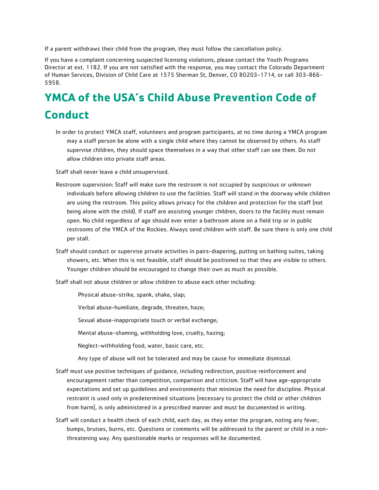If a parent withdraws their child from the program, they must follow the cancellation policy.

If you have a complaint concerning suspected licensing violations, please contact the Youth Programs Director at ext. 1182. If you are not satisfied with the response, you may contact the Colorado Department of Human Services, Division of Child Care at 1575 Sherman St, Denver, CO 80203-1714, or call 303-866- 5958.

### **YMCA of the USA's Child Abuse Prevention Code of Conduct**

In order to protect YMCA staff, volunteers and program participants, at no time during a YMCA program may a staff person be alone with a single child where they cannot be observed by others. As staff supervise children, they should space themselves in a way that other staff can see them. Do not allow children into private staff areas.

Staff shall never leave a child unsupervised.

- Restroom supervision: Staff will make sure the restroom is not occupied by suspicious or unknown individuals before allowing children to use the facilities. Staff will stand in the doorway while children are using the restroom. This policy allows privacy for the children and protection for the staff (not being alone with the child). If staff are assisting younger children, doors to the facility must remain open. No child regardless of age should ever enter a bathroom alone on a field trip or in public restrooms of the YMCA of the Rockies. Always send children with staff. Be sure there is only one child per stall.
- Staff should conduct or supervise private activities in pairs-diapering, putting on bathing suites, taking showers, etc. When this is not feasible, staff should be positioned so that they are visible to others. Younger children should be encouraged to change their own as much as possible.

Staff shall not abuse children or allow children to abuse each other including:

Physical abuse-strike, spank, shake, slap;

Verbal abuse-humiliate, degrade, threaten, haze;

Sexual abuse-inappropriate touch or verbal exchange;

Mental abuse-shaming, withholding love, cruelty, hazing;

Neglect-withholding food, water, basic care, etc.

Any type of abuse will not be tolerated and may be cause for immediate dismissal.

- Staff must use positive techniques of guidance, including redirection, positive reinforcement and encouragement rather than competition, comparison and criticism. Staff will have age-appropriate expectations and set up guidelines and environments that minimize the need for discipline. Physical restraint is used only in predetermined situations (necessary to protect the child or other children from harm), is only administered in a prescribed manner and must be documented in writing.
- Staff will conduct a health check of each child, each day, as they enter the program, noting any fever, bumps, bruises, burns, etc. Questions or comments will be addressed to the parent or child in a nonthreatening way. Any questionable marks or responses will be documented.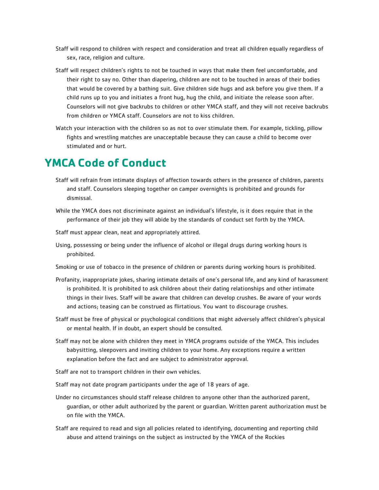- Staff will respond to children with respect and consideration and treat all children equally regardless of sex, race, religion and culture.
- Staff will respect children's rights to not be touched in ways that make them feel uncomfortable, and their right to say no. Other than diapering, children are not to be touched in areas of their bodies that would be covered by a bathing suit. Give children side hugs and ask before you give them. If a child runs up to you and initiates a front hug, hug the child, and initiate the release soon after. Counselors will not give backrubs to children or other YMCA staff, and they will not receive backrubs from children or YMCA staff. Counselors are not to kiss children.
- Watch your interaction with the children so as not to over stimulate them. For example, tickling, pillow fights and wrestling matches are unacceptable because they can cause a child to become over stimulated and or hurt.

### **YMCA Code of Conduct**

- Staff will refrain from intimate displays of affection towards others in the presence of children, parents and staff. Counselors sleeping together on camper overnights is prohibited and grounds for dismissal.
- While the YMCA does not discriminate against an individual's lifestyle, is it does require that in the performance of their job they will abide by the standards of conduct set forth by the YMCA.

Staff must appear clean, neat and appropriately attired.

Using, possessing or being under the influence of alcohol or illegal drugs during working hours is prohibited.

Smoking or use of tobacco in the presence of children or parents during working hours is prohibited.

- Profanity, inappropriate jokes, sharing intimate details of one's personal life, and any kind of harassment is prohibited. It is prohibited to ask children about their dating relationships and other intimate things in their lives. Staff will be aware that children can develop crushes. Be aware of your words and actions; teasing can be construed as flirtatious. You want to discourage crushes.
- Staff must be free of physical or psychological conditions that might adversely affect children's physical or mental health. If in doubt, an expert should be consulted.
- Staff may not be alone with children they meet in YMCA programs outside of the YMCA. This includes babysitting, sleepovers and inviting children to your home. Any exceptions require a written explanation before the fact and are subject to administrator approval.
- Staff are not to transport children in their own vehicles.
- Staff may not date program participants under the age of 18 years of age.
- Under no circumstances should staff release children to anyone other than the authorized parent, guardian, or other adult authorized by the parent or guardian. Written parent authorization must be on file with the YMCA.
- Staff are required to read and sign all policies related to identifying, documenting and reporting child abuse and attend trainings on the subject as instructed by the YMCA of the Rockies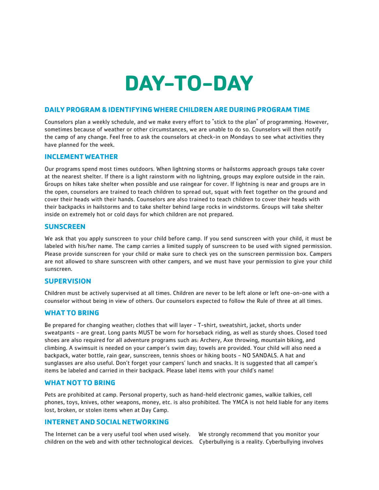# **DAY-TO-DAY**

#### **DAILY PROGRAM & IDENTIFYING WHERE CHILDREN AREDURING PROGRAM TIME**

Counselors plan a weekly schedule, and we make every effort to "stick to the plan" of programming. However, sometimes because of weather or other circumstances, we are unable to do so. Counselors will then notify the camp of any change. Feel free to ask the counselors at check-in on Mondays to see what activities they have planned for the week.

#### **INCLEMENTWEATHER**

Our programs spend most times outdoors. When lightning storms or hailstorms approach groups take cover at the nearest shelter. If there is a light rainstorm with no lightning, groups may explore outside in the rain. Groups on hikes take shelter when possible and use raingear for cover. If lightning is near and groups are in the open, counselors are trained to teach children to spread out, squat with feet together on the ground and cover their heads with their hands. Counselors are also trained to teach children to cover their heads with their backpacks in hailstorms and to take shelter behind large rocks in windstorms. Groups will take shelter inside on extremely hot or cold days for which children are not prepared.

#### **SUNSCREEN**

We ask that you apply sunscreen to your child before camp. If you send sunscreen with your child, it must be labeled with his/her name. The camp carries a limited supply of sunscreen to be used with signed permission. Please provide sunscreen for your child or make sure to check yes on the sunscreen permission box. Campers are not allowed to share sunscreen with other campers, and we must have your permission to give your child sunscreen.

#### **SUPERVISION**

Children must be actively supervised at all times. Children are never to be left alone or left one-on-one with a counselor without being in view of others. Our counselors expected to follow the Rule of three at all times.

#### **WHAT TO BRING**

Be prepared for changing weather; clothes that will layer - T-shirt, sweatshirt, jacket, shorts under sweatpants - are great. Long pants MUST be worn for horseback riding, as well as sturdy shoes. Closed toed shoes are also required for all adventure programs such as: Archery, Axe throwing, mountain biking, and climbing. A swimsuit is needed on your camper's swim day; towels are provided. Your child will also need a backpack, water bottle, rain gear, sunscreen, tennis shoes or hiking boots - NO SANDALS. A hat and sunglasses are also useful. Don't forget your campers' lunch and snacks. It is suggested that all camper's items be labeled and carried in their backpack. Please label items with your child's name!

#### **WHAT NOT TO BRING**

Pets are prohibited at camp. Personal property, such as hand-held electronic games, walkie talkies, cell phones, toys, knives, other weapons, money, etc. is also prohibited. The YMCA is not held liable for any items lost, broken, or stolen items when at Day Camp.

#### **INTERNETAND SOCIAL NETWORKING**

The Internet can be a very useful tool when used wisely. We strongly recommend that you monitor your children on the web and with other technological devices. Cyberbullying is a reality. Cyberbullying involves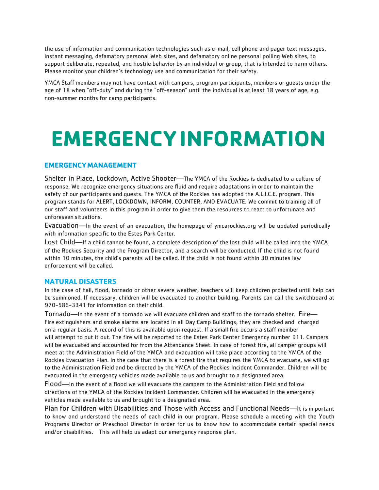the use of information and communication technologies such as e-mail, cell phone and pager text messages, instant messaging, defamatory personal Web sites, and defamatory online personal polling Web sites, to support deliberate, repeated, and hostile behavior by an individual or group, that is intended to harm others. Please monitor your children's technology use and communication for their safety.

YMCA Staff members may not have contact with campers, program participants, members or guests under the age of 18 when "off-duty" and during the "off-season" until the individual is at least 18 years of age, e.g. non-summer months for camp participants.

# **EMERGENCYINFORMATION**

#### **EMERGENCYMANAGEMENT**

Shelter in Place, Lockdown, Active Shooter—The YMCA of the Rockies is dedicated to a culture of response. We recognize emergency situations are fluid and require adaptations in order to maintain the safety of our participants and guests. The YMCA of the Rockies has adopted the A.L.I.C.E. program. This program stands for ALERT, LOCKDOWN, INFORM, COUNTER, AND EVACUATE. We commit to training all of our staff and volunteers in this program in order to give them the resources to react to unfortunate and unforeseen situations.

Evacuation—In the event of an evacuation, the homepage of ymcarockies.org will be updated periodically with information specific to the Estes Park Center.

Lost Child—If a child cannot be found, a complete description of the lost child will be called into the YMCA of the Rockies Security and the Program Director, and a search will be conducted. If the child is not found within 10 minutes, the child's parents will be called. If the child is not found within 30 minutes law enforcement will be called.

#### **NATURAL DISASTERS**

In the case of hail, flood, tornado or other severe weather, teachers will keep children protected until help can be summoned. If necessary, children will be evacuated to another building. Parents can call the switchboard at 970-586-3341 for information on their child.

Tornado—In the event of a tornado we will evacuate children and staff to the tornado shelter. Fire— Fire extinguishers and smoke alarms are located in all Day Camp Buildings; they are checked and charged on a regular basis. A record of this is available upon request. If a small fire occurs a staff member will attempt to put it out. The fire will be reported to the Estes Park Center Emergency number 911. Campers will be evacuated and accounted for from the Attendance Sheet. In case of forest fire, all camper groups will meet at the Administration Field of the YMCA and evacuation will take place according to the YMCA of the Rockies Evacuation Plan. In the case that there is a forest fire that requires the YMCA to evacuate, we will go to the Administration Field and be directed by the YMCA of the Rockies Incident Commander. Children will be evacuated in the emergency vehicles made available to us and brought to a designated area.

Flood—In the event of a flood we will evacuate the campers to the Administration Field and follow directions of the YMCA of the Rockies Incident Commander. Children will be evacuated in the emergency vehicles made available to us and brought to a designated area.

Plan for Children with Disabilities and Those with Access and Functional Needs—It is important to know and understand the needs of each child in our program. Please schedule a meeting with the Youth Programs Director or Preschool Director in order for us to know how to accommodate certain special needs and/or disabilities. This will help us adapt our emergency response plan.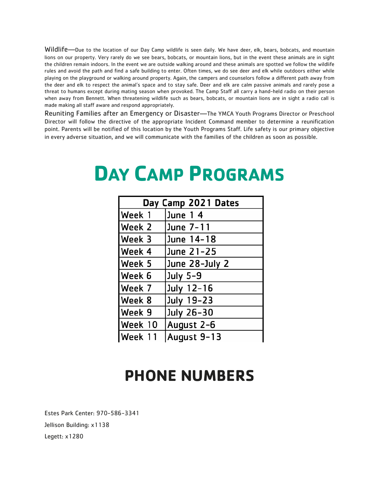Wildlife—Due to the location of our Day Camp wildlife is seen daily. We have deer, elk, bears, bobcats, and mountain lions on our property. Very rarely do we see bears, bobcats, or mountain lions, but in the event these animals are in sight the children remain indoors. In the event we are outside walking around and these animals are spotted we follow the wildlife rules and avoid the path and find a safe building to enter. Often times, we do see deer and elk while outdoors either while playing on the playground or walking around property. Again, the campers and counselors follow a different path away from the deer and elk to respect the animal's space and to stay safe. Deer and elk are calm passive animals and rarely pose a threat to humans except during mating season when provoked. The Camp Staff all carry a hand-held radio on their person when away from Bennett. When threatening wildlife such as bears, bobcats, or mountain lions are in sight a radio call is made making all staff aware and respond appropriately.

Reuniting Families after an Emergency or Disaster—The YMCA Youth Programs Director or Preschool Director will follow the directive of the appropriate Incident Command member to determine a reunification point. Parents will be notified of this location by the Youth Programs Staff. Life safety is our primary objective in every adverse situation, and we will communicate with the families of the children as soon as possible.

### **DAY CAMP PROGRAMS**

| Day Camp 2021 Dates |                |  |
|---------------------|----------------|--|
| Week 1              | June 14        |  |
| Week 2              | June 7-11      |  |
| Week 3              | June 14-18     |  |
| Week 4              | June 21-25     |  |
| Week 5              | June 28-July 2 |  |
| Week 6              | July 5-9       |  |
| Week 7              | July 12-16     |  |
| Week 8              | July 19-23     |  |
| Week 9              | July 26-30     |  |
| Week 10             | August 2-6     |  |
| Week 11             | August 9-13    |  |

### **PHONE NUMBERS**

Estes Park Center: 970-586-3341 Jellison Building: x1138 Legett: x1280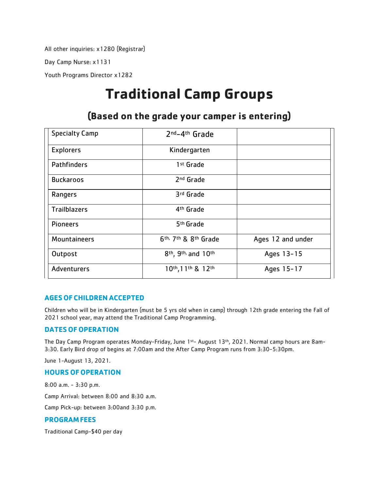All other inquiries: x1280 (Registrar)

Day Camp Nurse: x1131

Youth Programs Director x1282

### **Traditional Camp Groups**

| <b>Specialty Camp</b> | 2nd-4th Grade                                           |                   |
|-----------------------|---------------------------------------------------------|-------------------|
| <b>Explorers</b>      | Kindergarten                                            |                   |
| Pathfinders           | 1 <sup>st</sup> Grade                                   |                   |
| <b>Buckaroos</b>      | 2 <sup>nd</sup> Grade                                   |                   |
| Rangers               | 3rd Grade                                               |                   |
| <b>Trailblazers</b>   | 4 <sup>th</sup> Grade                                   |                   |
| <b>Pioneers</b>       | 5 <sup>th</sup> Grade                                   |                   |
| Mountaineers          | 6th, 7th & 8th Grade                                    | Ages 12 and under |
| Outpost               | 8 <sup>th</sup> , 9 <sup>th,</sup> and 10 <sup>th</sup> | Ages 13-15        |
| Adventurers           | 10th, 11th & 12th                                       | Ages 15-17        |

#### **(Based on the grade your camper is entering)**

#### **AGES OF CHILDREN ACCEPTED**

Children who will be in Kindergarten (must be 5 yrs old when in camp) through 12th grade entering the Fall of 2021 school year, may attend the Traditional Camp Programming.

#### **DATES OF OPERATION**

The Day Camp Program operates Monday-Friday, June 1st- August 13th , 2021. Normal camp hours are 8am-3:30. Early Bird drop of begins at 7:00am and the After Camp Program runs from 3:30-5:30pm.

June 1-August 13, 2021.

#### **HOURS OF OPERATION**

8:00 a.m. - 3:30 p.m. Camp Arrival: between 8:00 and 8:30 a.m. Camp Pick-up: between 3:00and 3:30 p.m. **PROGRAMFEES**

Traditional Camp-\$40 per day